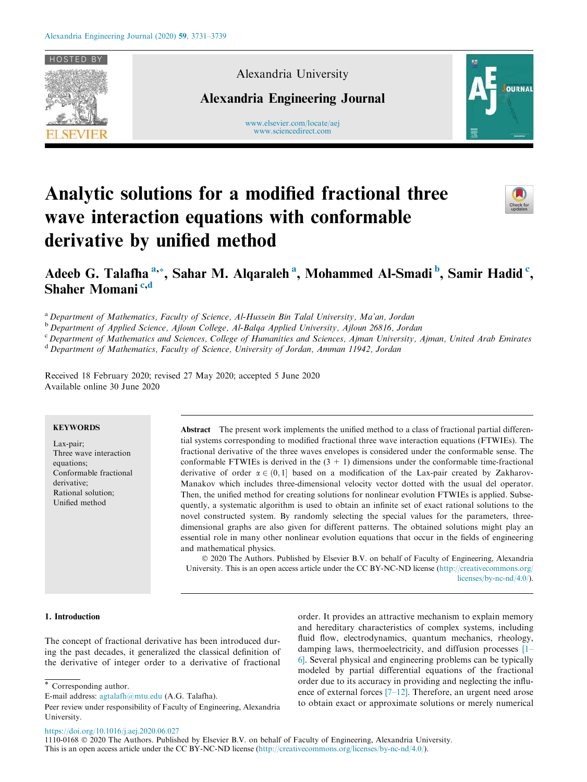

Alexandria University

Alexandria Engineering Journal

www.elsevier.com/locate/aej www.sciencedirect.com



# Analytic solutions for a modified fractional three wave interaction equations with conformable derivative by unified method



# Adeeb G. Talafha <sup>a,</sup>\*, Sahar M. Alqaraleh <sup>a</sup>, Mohammed Al-Smadi <sup>b</sup>, Samir Hadid <sup>c</sup>, Shaher Momani<sup>c,d</sup>

<sup>a</sup> Department of Mathematics, Faculty of Science, Al-Hussein Bin Talal University, Ma'an, Jordan

<sup>b</sup> Department of Applied Science, Ajloun College, Al-Balqa Applied University, Ajloun 26816, Jordan

<sup>c</sup> Department of Mathematics and Sciences, College of Humanities and Sciences, Ajman University, Ajman, United Arab Emirates

<sup>d</sup> Department of Mathematics, Faculty of Science, University of Jordan, Amman 11942, Jordan

Received 18 February 2020; revised 27 May 2020; accepted 5 June 2020 Available online 30 June 2020

# **KEYWORDS**

Lax-pair; Three wave interaction equations; Conformable fractional derivative; Rational solution; Unified method

Abstract The present work implements the unified method to a class of fractional partial differential systems corresponding to modified fractional three wave interaction equations (FTWIEs). The fractional derivative of the three waves envelopes is considered under the conformable sense. The conformable FTWIEs is derived in the  $(3 + 1)$  dimensions under the conformable time-fractional derivative of order  $\alpha \in (0,1]$  based on a modification of the Lax-pair created by Zakharov-Manakov which includes three-dimensional velocity vector dotted with the usual del operator. Then, the unified method for creating solutions for nonlinear evolution FTWIEs is applied. Subsequently, a systematic algorithm is used to obtain an infinite set of exact rational solutions to the novel constructed system. By randomly selecting the special values for the parameters, threedimensional graphs are also given for different patterns. The obtained solutions might play an essential role in many other nonlinear evolution equations that occur in the fields of engineering and mathematical physics.

 2020 The Authors. Published by Elsevier B.V. on behalf of Faculty of Engineering, Alexandria University. This is an open access article under the CC BY-NC-ND license (http://creativecommons.org/ licenses/by-nc-nd/4.0/).

## 1. Introduction

The concept of fractional derivative has been introduced during the past decades, it generalized the classical definition of the derivative of integer order to a derivative of fractional order. It provides an attractive mechanism to explain memory and hereditary characteristics of complex systems, including fluid flow, electrodynamics, quantum mechanics, rheology, damping laws, thermoelectricity, and diffusion processes [1– 6]. Several physical and engineering problems can be typically modeled by partial differential equations of the fractional order due to its accuracy in providing and neglecting the influence of external forces [7–12]. Therefore, an urgent need arose to obtain exact or approximate solutions or merely numerical

\* Corresponding author.

https://doi.org/10.1016/j.aej.2020.06.027

E-mail address: agtalafh@mtu.edu (A.G. Talafha).

Peer review under responsibility of Faculty of Engineering, Alexandria University.

<sup>1110-0168</sup> 2020 The Authors. Published by Elsevier B.V. on behalf of Faculty of Engineering, Alexandria University. This is an open access article under the CC BY-NC-ND license (http://creativecommons.org/licenses/by-nc-nd/4.0/).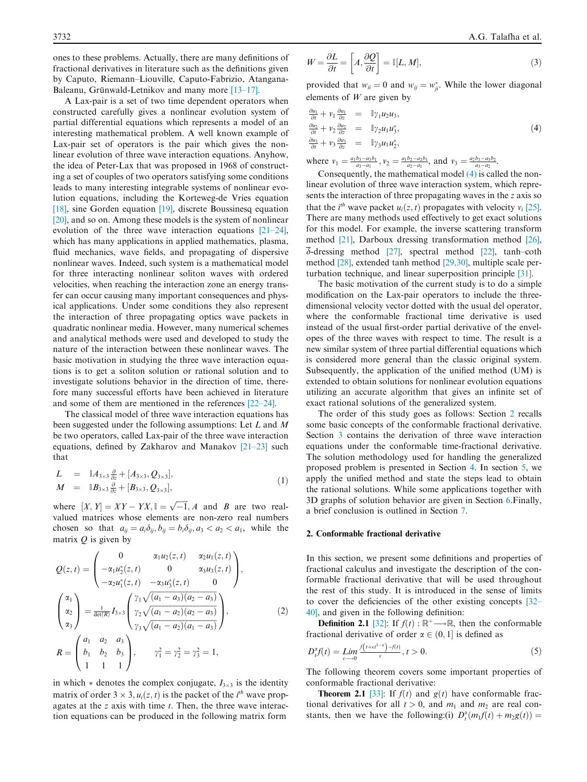ones to these problems. Actually, there are many definitions of fractional derivatives in literature such as the definitions given by Caputo, Riemann–Liouville, Caputo-Fabrizio, Atangana-Baleanu, Grünwald-Letnikov and many more  $[13-17]$ .

A Lax-pair is a set of two time dependent operators when constructed carefully gives a nonlinear evolution system of partial differential equations which represents a model of an interesting mathematical problem. A well known example of Lax-pair set of operators is the pair which gives the nonlinear evolution of three wave interaction equations. Anyhow, the idea of Peter-Lax that was proposed in 1968 of constructing a set of couples of two operators satisfying some conditions leads to many interesting integrable systems of nonlinear evolution equations, including the Korteweg-de Vries equation [18], sine Gorden equation [19], discrete Boussinesq equation [20], and so on. Among these models is the system of nonlinear evolution of the three wave interaction equations [21–24], which has many applications in applied mathematics, plasma, fluid mechanics, wave fields, and propagating of dispersive nonlinear waves. Indeed, such system is a mathematical model for three interacting nonlinear soliton waves with ordered velocities, when reaching the interaction zone an energy transfer can occur causing many important consequences and physical applications. Under some conditions they also represent the interaction of three propagating optics wave packets in quadratic nonlinear media. However, many numerical schemes and analytical methods were used and developed to study the nature of the interaction between these nonlinear waves. The basic motivation in studying the three wave interaction equations is to get a soliton solution or rational solution and to investigate solutions behavior in the direction of time, therefore many successful efforts have been achieved in literature and some of them are mentioned in the references [22–24].

The classical model of three wave interaction equations has been suggested under the following assumptions: Let L and M be two operators, called Lax-pair of the three wave interaction equations, defined by Zakharov and Manakov [21–23] such that

$$
L = \mathbb{L}A_{3\times 3} \frac{\partial}{\partial z} + [A_{3\times 3}, Q_{3\times 3}],
$$
  
\n
$$
M = \mathbb{L}B_{3\times 3} \frac{\partial}{\partial z} + [B_{3\times 3}, Q_{3\times 3}],
$$
\n(1)

where  $[X, Y] = XY - YX, \mathbb{I} = \sqrt{-1}, A$  and B are two realvalued matrices whose elements are non-zero real numbers chosen so that  $a_{ii} = a_i \delta_{ii}$ ,  $b_{ii} = b_i \delta_{ii}$ ,  $a_3 < a_2 < a_1$ , while the matrix  $Q$  is given by

$$
Q(z, t) = \begin{pmatrix} 0 & \alpha_1 u_2(z, t) & \alpha_2 u_1(z, t) \\ -\alpha_1 u_2^*(z, t) & 0 & \alpha_3 u_3(z, t) \\ -\alpha_2 u_1^*(z, t) & -\alpha_3 u_3^*(z, t) & 0 \end{pmatrix},
$$

$$
\begin{pmatrix} \alpha_1 \\ \alpha_2 \\ \alpha_3 \end{pmatrix} = \frac{1}{\det(R)} I_{3 \times 3} \begin{pmatrix} \gamma_1 \sqrt{(a_1 - a_3)(a_2 - a_3)} \\ \gamma_2 \sqrt{(a_1 - a_2)(a_2 - a_3)} \\ \gamma_3 \sqrt{(a_1 - a_2)(a_1 - a_3)} \end{pmatrix},
$$
(2)
$$
R = \begin{pmatrix} a_1 & a_2 & a_3 \\ b_1 & b_2 & b_3 \\ 1 & 1 & 1 \end{pmatrix}, \qquad \gamma_1^2 = \gamma_2^2 = \gamma_3^2 = 1,
$$

in which  $*$  denotes the complex conjugate,  $I_{3\times 3}$  is the identity matrix of order  $3 \times 3$ ,  $u_i(z, t)$  is the packet of the *i*<sup>th</sup> wave propagates at the z axis with time t. Then, the three wave interaction equations can be produced in the following matrix form

$$
W = \frac{\partial L}{\partial t} = \left[ A, \frac{\partial Q}{\partial t} \right] = \mathbb{I}[L, M],\tag{3}
$$

provided that  $w_{ii} = 0$  and  $w_{ij} = w_{ji}^*$ . While the lower diagonal elements of  $W$  are given by

$$
\frac{\partial u_1}{\partial t} + v_1 \frac{\partial u_1}{\partial z} = \mathbb{I} \gamma_1 u_2 u_3,\n\frac{\partial u_2}{\partial t} + v_2 \frac{\partial u_2}{\partial z} = \mathbb{I} \gamma_2 u_1 u_3^*,\n\frac{\partial u_3}{\partial t} + v_3 \frac{\partial u_3}{\partial z} = \mathbb{I} \gamma_3 u_1 u_2^*,
$$
\n(4)

where  $v_1 = \frac{a_1b_3 - a_3b_1}{a_3 - a_1}$ ,  $v_2 = \frac{a_1b_2 - a_2b_1}{a_2 - a_1}$ , and  $v_3 = \frac{a_2b_3 - a_3b_2}{a_3 - a_2}$ .

Consequently, the mathematical model (4) is called the nonlinear evolution of three wave interaction system, which represents the interaction of three propagating waves in the z axis so that the *i*<sup>th</sup> wave packet  $u_i(z, t)$  propagates with velocity  $v_i$  [25]. There are many methods used effectively to get exact solutions for this model. For example, the inverse scattering transform method [21], Darboux dressing transformation method [26],  $\overline{\delta}$ -dressing method [27], spectral method [22], tanh–coth method [28], extended tanh method [29,30], multiple scale perturbation technique, and linear superposition principle [31].

The basic motivation of the current study is to do a simple modification on the Lax-pair operators to include the threedimensional velocity vector dotted with the usual del operator, where the conformable fractional time derivative is used instead of the usual first-order partial derivative of the envelopes of the three waves with respect to time. The result is a new similar system of three partial differential equations which is considered more general than the classic original system. Subsequently, the application of the unified method (UM) is extended to obtain solutions for nonlinear evolution equations utilizing an accurate algorithm that gives an infinite set of exact rational solutions of the generalized system.

The order of this study goes as follows: Section 2 recalls some basic concepts of the conformable fractional derivative. Section 3 contains the derivation of three wave interaction equations under the conformable time-fractional derivative. The solution methodology used for handling the generalized proposed problem is presented in Section 4. In section 5, we apply the unified method and state the steps lead to obtain the rational solutions. While some applications together with 3D graphs of solution behavior are given in Section 6.Finally, a brief conclusion is outlined in Section 7.

#### 2. Conformable fractional derivative

In this section, we present some definitions and properties of fractional calculus and investigate the description of the conformable fractional derivative that will be used throughout the rest of this study. It is introduced in the sense of limits to cover the deficiencies of the other existing concepts [32– 40], and given in the following definition:

**Definition 2.1** [32]: If  $f(t) : \mathbb{R}^+ \longrightarrow \mathbb{R}$ , then the conformable fractional derivative of order  $\alpha \in (0, 1]$  is defined as

$$
D_t^{\alpha} f(t) = \lim_{\epsilon \to 0} \frac{f(t + \epsilon t^{1 - \alpha}) - f(t)}{\epsilon}, \quad t > 0. \tag{5}
$$

The following theorem covers some important properties of conformable fractional derivative:

**Theorem 2.1** [33]: If  $f(t)$  and  $g(t)$  have conformable fractional derivatives for all  $t > 0$ , and  $m_1$  and  $m_2$  are real constants, then we have the following:(i)  $D_t^{\alpha}(m_1f(t) + m_2g(t)) =$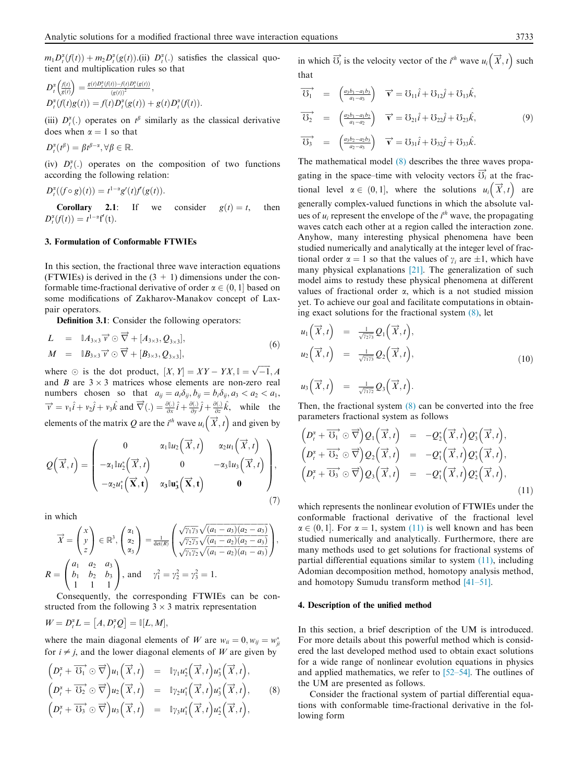$m_1 D_t^{\alpha}(f(t)) + m_2 D_t^{\alpha}(g(t)).$  (ii)  $D_t^{\alpha}(.)$  satisfies the classical quotient and multiplication rules so that

$$
D_t^{\alpha} \left( \frac{f(t)}{g(t)} \right) = \frac{g(t)D_t^{\alpha}(f(t)) - f(t)D_t^{\alpha}(g(t))}{(g(t))^2}, D_t^{\alpha} \left( f(t)g(t) \right) = f(t)D_t^{\alpha} \left( g(t) \right) + g(t)D_t^{\alpha} \left( f(t) \right).
$$

(iii)  $D_t^{\alpha}$ (.) operates on  $t^{\beta}$  similarly as the classical derivative does when  $\alpha = 1$  so that

$$
D_t^{\alpha}(t^{\beta}) = \beta t^{\beta-\alpha}, \forall \beta \in \mathbb{R}.
$$

(iv)  $D_t^{\alpha}$ (.) operates on the composition of two functions according the following relation:

$$
D_t^{\alpha}((f\circ g)(t))=t^{1-\alpha}g'(t)f'(g(t)).
$$

**Corollary 2.1:** If we consider  $g(t) = t$ , then  $D_t^{\alpha}(f(t)) = t^{1-\alpha}f'(t).$ 

# 3. Formulation of Conformable FTWIEs

In this section, the fractional three wave interaction equations (FTWIEs) is derived in the  $(3 + 1)$  dimensions under the conformable time-fractional derivative of order  $\alpha \in (0, 1]$  based on some modifications of Zakharov-Manakov concept of Laxpair operators.

Definition 3.1: Consider the following operators:

$$
L = \mathbb{I}A_{3\times 3} \overrightarrow{v} \odot \overrightarrow{\nabla} + [A_{3\times 3}, Q_{3\times 3}],
$$
  
\n
$$
M = \mathbb{I}B_{3\times 3} \overrightarrow{v} \odot \overrightarrow{\nabla} + [B_{3\times 3}, Q_{3\times 3}],
$$
\n(6)

where  $\odot$  is the dot product,  $[X, Y] = XY - YX, \mathbb{I} = \sqrt{-1}, A$ and B are  $3 \times 3$  matrices whose elements are non-zero real numbers chosen so that  $a_{ij} = a_i \delta_{ij}$ ,  $b_{ij} = b_i \delta_{ij}$ ,  $a_3 < a_2 < a_1$ ,  $\vec{v} = v_1 \hat{i} + v_2 \hat{j} + v_3 \hat{k}$  and  $\vec{\nabla}$ (.) =  $\frac{\partial(.)}{\partial x} \hat{i} + \frac{\partial(.)}{\partial y} \hat{j} + \frac{\partial(.)}{\partial z} \hat{k}$ , while the elements of the matrix Q are the  $i^{th}$  wave  $u_i(\vec{X}, t)$  and given by

$$
Q\left(\overrightarrow{x},t\right) = \begin{pmatrix} 0 & \alpha_1 \mathbb{I} u_2\left(\overrightarrow{x},t\right) & \alpha_2 u_1\left(\overrightarrow{x},t\right) \\ -\alpha_1 \mathbb{I} u_2^*\left(\overrightarrow{x},t\right) & 0 & -\alpha_3 \mathbb{I} u_3\left(\overrightarrow{x},t\right) \\ -\alpha_2 u_1^*\left(\overrightarrow{x},t\right) & \alpha_3 \mathbb{I} u_3^*\left(\overrightarrow{x},t\right) & \mathbf{0} \end{pmatrix},\tag{7}
$$

in which

$$
\overrightarrow{X} = \begin{pmatrix} x \\ y \\ z \end{pmatrix} \in \mathbb{R}^3, \begin{pmatrix} \alpha_1 \\ \alpha_2 \\ \alpha_3 \end{pmatrix} = \frac{1}{\det(R)} \begin{pmatrix} \sqrt{\gamma_1 \gamma_3} \sqrt{(a_1 - a_3)(a_2 - a_3)} \\ \sqrt{\gamma_2 \gamma_3} \sqrt{(a_1 - a_2)(a_2 - a_3)} \\ \sqrt{\gamma_1 \gamma_2} \sqrt{(a_1 - a_2)(a_1 - a_3)} \end{pmatrix},
$$
  

$$
R = \begin{pmatrix} a_1 & a_2 & a_3 \\ b_1 & b_2 & b_3 \\ 1 & 1 & 1 \end{pmatrix}, \text{ and } \gamma_1^2 = \gamma_2^2 = \gamma_3^2 = 1.
$$

Consequently, the corresponding FTWIEs can be constructed from the following  $3 \times 3$  matrix representation

$$
W=D_t^{\alpha}L=\big[A,D_t^{\alpha}Q\big]=\mathbb{I}[L,M],
$$

where the main diagonal elements of W are  $w_{ii} = 0, w_{ij} = w_{ji}^*$ for  $i \neq j$ , and the lower diagonal elements of W are given by

$$
\begin{array}{rcl}\n\left(D_t^{\alpha} + \overrightarrow{U_1} \odot \overrightarrow{\nabla}\right) u_1\left(\overrightarrow{X}, t\right) & = & \mathbb{I}_{\gamma_1} u_2^*\left(\overrightarrow{X}, t\right) u_3^*\left(\overrightarrow{X}, t\right), \\
\left(D_t^{\alpha} + \overrightarrow{U_2} \odot \overrightarrow{\nabla}\right) u_2\left(\overrightarrow{X}, t\right) & = & \mathbb{I}_{\gamma_2} u_1^*\left(\overrightarrow{X}, t\right) u_3^*\left(\overrightarrow{X}, t\right), \\
\left(D_t^{\alpha} + \overrightarrow{U_3} \odot \overrightarrow{\nabla}\right) u_3\left(\overrightarrow{X}, t\right) & = & \mathbb{I}_{\gamma_3} u_1^*\left(\overrightarrow{X}, t\right) u_2^*\left(\overrightarrow{X}, t\right),\n\end{array} \tag{8}
$$

in which  $\overrightarrow{0_i}$  is the velocity vector of the *i*<sup>th</sup> wave  $u_i(\overrightarrow{X}, t)$  such that

$$
\overrightarrow{U_1} = \begin{pmatrix} \frac{a_2b_1 - a_1b_3}{a_1 - a_3} \end{pmatrix} \quad \overrightarrow{v} = U_{11}\hat{i} + U_{12}\hat{j} + U_{13}\hat{k},
$$
  
\n
$$
\overrightarrow{U_2} = \begin{pmatrix} \frac{a_2b_1 - a_1b_2}{a_1 - a_2} \end{pmatrix} \quad \overrightarrow{v} = U_{21}\hat{i} + U_{22}\hat{j} + U_{23}\hat{k},
$$
  
\n
$$
\overrightarrow{U_3} = \begin{pmatrix} \frac{a_2b_2 - a_2b_3}{a_2 - a_3} \end{pmatrix} \quad \overrightarrow{v} = U_{31}\hat{i} + U_{32}\hat{j} + U_{33}\hat{k}.
$$
 (9)

The mathematical model (8) describes the three waves propagating in the space–time with velocity vectors  $\overrightarrow{O}_i$  at the fractional level  $\alpha \in (0,1]$ , where the solutions  $u_i(\vec{X},t)$  are generally complex-valued functions in which the absolute values of  $u_i$  represent the envelope of the  $i<sup>th</sup>$  wave, the propagating waves catch each other at a region called the interaction zone. Anyhow, many interesting physical phenomena have been studied numerically and analytically at the integer level of fractional order  $\alpha = 1$  so that the values of  $\gamma_i$  are  $\pm 1$ , which have many physical explanations [21]. The generalization of such model aims to restudy these physical phenomena at different values of fractional order  $\alpha$ , which is a not studied mission yet. To achieve our goal and facilitate computations in obtaining exact solutions for the fractional system (8), let

$$
u_1\left(\overrightarrow{X},t\right) = \frac{1}{\sqrt{7273}} Q_1\left(\overrightarrow{X},t\right),
$$
  

$$
u_2\left(\overrightarrow{X},t\right) = \frac{1}{\sqrt{7173}} Q_2\left(\overrightarrow{X},t\right),
$$
 (10)

$$
u_3\left(\overrightarrow{X},t\right) = \frac{1}{\sqrt{\gamma_1\gamma_2}}Q_3\left(\overrightarrow{X},t\right).
$$

Then, the fractional system  $(8)$  can be converted into the free parameters fractional system as follows

$$
\begin{array}{rcl}\n\left(D_t^{\alpha} + \overrightarrow{U_1} \odot \overrightarrow{\nabla}\right) Q_1\left(\overrightarrow{X}, t\right) & = & -Q_2^*\left(\overrightarrow{X}, t\right) Q_3^*\left(\overrightarrow{X}, t\right), \\
\left(D_t^{\alpha} + \overrightarrow{U_2} \odot \overrightarrow{\nabla}\right) Q_2\left(\overrightarrow{X}, t\right) & = & -Q_1^*\left(\overrightarrow{X}, t\right) Q_3^*\left(\overrightarrow{X}, t\right), \\
\left(D_t^{\alpha} + \overrightarrow{U_3} \odot \overrightarrow{\nabla}\right) Q_3\left(\overrightarrow{X}, t\right) & = & -Q_1^*\left(\overrightarrow{X}, t\right) Q_2^*\left(\overrightarrow{X}, t\right),\n\end{array} \tag{11}
$$

which represents the nonlinear evolution of FTWIEs under the conformable fractional derivative of the fractional level  $\alpha \in (0, 1]$ . For  $\alpha = 1$ , system (11) is well known and has been studied numerically and analytically. Furthermore, there are many methods used to get solutions for fractional systems of partial differential equations similar to system (11), including Adomian decomposition method, homotopy analysis method, and homotopy Sumudu transform method [41–51].

#### 4. Description of the unified method

In this section, a brief description of the UM is introduced. For more details about this powerful method which is considered the last developed method used to obtain exact solutions for a wide range of nonlinear evolution equations in physics and applied mathematics, we refer to [52–54]. The outlines of the UM are presented as follows.

Consider the fractional system of partial differential equations with conformable time-fractional derivative in the following form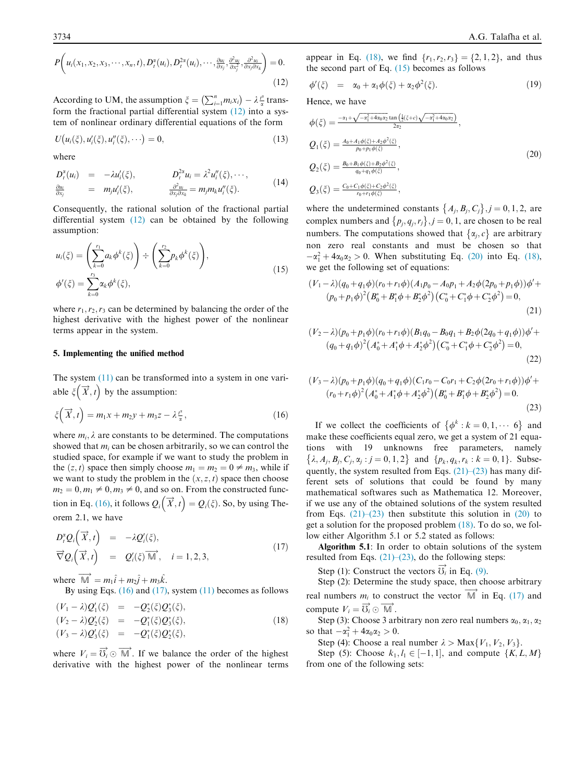$$
P\bigg(u_i(x_1,x_2,x_3,\cdots,x_n,t), D_i^{\alpha}(u_i), D_i^{2\alpha}(u_i),\cdots,\frac{\partial u_i}{\partial x_j}, \frac{\partial^2 u_i}{\partial x_j^2}, \frac{\partial^2 u_i}{\partial x_j \partial x_k}\bigg) = 0.
$$
\n(12)

According to UM, the assumption  $\xi = \left(\sum_{i=1}^n m_i x_i\right) - \lambda \frac{t^2}{\alpha}$  transform the fractional partial differential system  $(12)$  into a system of nonlinear ordinary differential equations of the form

$$
U(u_i(\xi), u'_i(\xi), u''_i(\xi), \cdots) = 0,
$$
\n(13)

where

$$
D_i^{\alpha}(u_i) = -\lambda u_i'(\xi), \qquad D_i^{\alpha} u_i = \lambda^2 u_i'(\xi), \qquad ,
$$
  
\n
$$
\frac{\partial u_i}{\partial x_j} = m_j u_i'(\xi), \qquad \frac{\partial^2 u_i}{\partial x_j \partial x_k} = m_j m_k u_i''(\xi).
$$
\n(14)

Consequently, the rational solution of the fractional partial differential system (12) can be obtained by the following assumption:

$$
u_i(\xi) = \left(\sum_{k=0}^{r_1} a_k \phi^k(\xi)\right) \div \left(\sum_{k=0}^{r_2} p_k \phi^k(\xi)\right),
$$
  

$$
\phi'(\xi) = \sum_{k=0}^{r_3} \alpha_k \phi^k(\xi),
$$
 (15)

where  $r_1, r_2, r_3$  can be determined by balancing the order of the highest derivative with the highest power of the nonlinear terms appear in the system.

#### 5. Implementing the unified method

The system (11) can be transformed into a system in one variable  $\xi(\vec{X}, t)$  by the assumption:

$$
\xi\left(\overrightarrow{X},t\right) = m_1x + m_2y + m_3z - \lambda \frac{t^2}{\alpha},\tag{16}
$$

where  $m_i$ ,  $\lambda$  are constants to be determined. The computations showed that  $m_i$  can be chosen arbitrarily, so we can control the studied space, for example if we want to study the problem in the  $(z, t)$  space then simply choose  $m_1 = m_2 = 0 \neq m_3$ , while if we want to study the problem in the  $(x, z, t)$  space then choose  $m_2 = 0, m_1 \neq 0, m_3 \neq 0$ , and so on. From the constructed function in Eq. (16), it follows  $Q_i\left(\overrightarrow{X},t\right) = Q_i(\xi)$ . So, by using Theorem 2.1, we have

$$
D_i^{\alpha} Q_i\left(\vec{X},t\right) = -\lambda Q_i'(\xi),
$$
  
\n
$$
\vec{\nabla} Q_i\left(\vec{X},t\right) = Q_i'(\xi)\vec{M}, \quad i = 1, 2, 3,
$$
\n(17)

where  $\overrightarrow{M} = m_1 \hat{i} + m_2 \hat{j} + m_3 \hat{k}$ .

By using Eqs.  $(16)$  and  $(17)$ , system  $(11)$  becomes as follows

$$
\begin{array}{rcl}\n(V_1 - \lambda)Q_1'(\xi) & = & -Q_2^*(\xi)Q_3^*(\xi), \\
(V_2 - \lambda)Q_2'(\xi) & = & -Q_1^*(\xi)Q_3^*(\xi), \\
(V_3 - \lambda)Q_3'(\xi) & = & -Q_1^*(\xi)Q_2^*(\xi),\n\end{array} \tag{18}
$$

where  $V_i = \overrightarrow{V_i} \odot \overrightarrow{M}$ . If we balance the order of the highest derivative with the highest power of the nonlinear terms appear in Eq. (18), we find  $\{r_1, r_2, r_3\} = \{2, 1, 2\}$ , and thus the second part of Eq.  $(15)$  becomes as follows

$$
\phi'(\xi) = \alpha_0 + \alpha_1 \phi(\xi) + \alpha_2 \phi^2(\xi). \tag{19}
$$

Hence, we have

$$
\phi(\xi) = \frac{-\alpha_1 + \sqrt{-\alpha_1^2 + 4\alpha_0 \alpha_2} \tan\left(\frac{1}{2}(\xi + c)\sqrt{-\alpha_1^2 + 4\alpha_0 \alpha_2}\right)}{2\alpha_2},
$$
\n
$$
Q_1(\xi) = \frac{A_0 + A_1 \phi(\xi) + A_2 \phi^2(\xi)}{p_0 + p_1 \phi(\xi)},
$$
\n
$$
Q_2(\xi) = \frac{B_0 + B_1 \phi(\xi) + B_2 \phi^2(\xi)}{q_0 + q_1 \phi(\xi)},
$$
\n
$$
Q_3(\xi) = \frac{C_0 + C_1 \phi(\xi) + C_2 \phi^2(\xi)}{r_0 + r_1 \phi(\xi)},
$$
\n(20)

where the undetermined constants  $\{A_j, B_j, C_j\}$ ,  $j = 0, 1, 2$ , are complex numbers and  $\{p_j, q_j, r_j\}$ ,  $j = 0, 1$ , are chosen to be real numbers. The computations showed that  $\{\alpha_j, c\}$  are arbitrary non zero real constants and must be chosen so that  $-\alpha_1^2 + 4\alpha_0\alpha_2 > 0$ . When substituting Eq. (20) into Eq. (18), we get the following set of equations:

$$
(V_1 - \lambda)(q_0 + q_1\phi)(r_0 + r_1\phi)(A_1p_0 - A_0p_1 + A_2\phi(2p_0 + p_1\phi))\phi' + (p_0 + p_1\phi)^2 (B_0^* + B_1^*\phi + B_2^*\phi^2)(C_0^* + C_1^*\phi + C_2^*\phi^2) = 0,
$$
\n(21)

$$
(V_2 - \lambda)(p_0 + p_1 \phi)(r_0 + r_1 \phi)(B_1 q_0 - B_0 q_1 + B_2 \phi (2q_0 + q_1 \phi))\phi' +
$$
  

$$
(q_0 + q_1 \phi)^2 (A_0^* + A_1^* \phi + A_2^* \phi^2) (C_0^* + C_1^* \phi + C_2^* \phi^2) = 0,
$$
  
(22)

$$
(V_3 - \lambda)(p_0 + p_1 \phi)(q_0 + q_1 \phi)(C_1r_0 - C_0r_1 + C_2\phi(2r_0 + r_1\phi))\phi' +
$$
  

$$
(r_0 + r_1\phi)^2 (A_0^* + A_1^* \phi + A_2^* \phi^2) (B_0^* + B_1^* \phi + B_2^* \phi^2) = 0.
$$
  
(23)

If we collect the coefficients of  $\{\phi^k : k = 0, 1, \dots, 6\}$  and make these coefficients equal zero, we get a system of 21 equations with 19 unknowns free parameters, namely  $\{\lambda, A_j, B_j, C_j, \alpha_j : j = 0, 1, 2\}$  and  $\{p_k, q_k, r_k : k = 0, 1\}$ . Subsequently, the system resulted from Eqs.  $(21)$ – $(23)$  has many different sets of solutions that could be found by many mathematical softwares such as Mathematica 12. Moreover, if we use any of the obtained solutions of the system resulted from Eqs.  $(21)$ – $(23)$  then substitute this solution in  $(20)$  to get a solution for the proposed problem (18). To do so, we follow either Algorithm 5.1 or 5.2 stated as follows:

Algorithm 5.1: In order to obtain solutions of the system resulted from Eqs.  $(21)$ – $(23)$ , do the following steps:

Step (1): Construct the vectors  $\overrightarrow{O}_i$  in Eq. (9).

Step (2): Determine the study space, then choose arbitrary real numbers  $m_i$  to construct the vector  $\overrightarrow{M}$  in Eq. (17) and compute  $V_i = \overrightarrow{O_i} \odot \overrightarrow{M}$ .

Step (3): Choose 3 arbitrary non zero real numbers  $\alpha_0$ ,  $\alpha_1$ ,  $\alpha_2$ so that  $-\alpha_1^2 + 4\alpha_0 \alpha_2 > 0$ .

Step (4): Choose a real number  $\lambda > \text{Max}\{V_1, V_2, V_3\}$ .

Step (5): Choose  $k_1, l_1 \in [-1, 1]$ , and compute  $\{K, L, M\}$ from one of the following sets: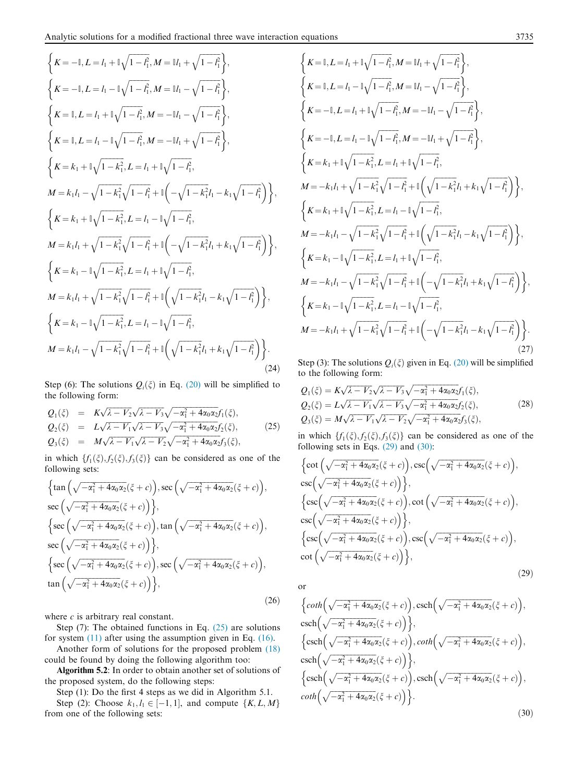$$
\begin{cases}\nK = -1, L = I_1 + \mathbb{I}\sqrt{1 - t_1}, M = \mathbb{I}I_1 + \sqrt{1 - t_1^2}, \\
K = -1, L = I_1 - \mathbb{I}\sqrt{1 - t_1}, M = \mathbb{I}I_1 - \sqrt{1 - t_1^2}, \\
K = 1, L = I_1 + \mathbb{I}\sqrt{1 - t_1^2}, M = -\mathbb{I}I_1 - \sqrt{1 - t_1^2}, \\
K = 1, L = I_1 - \mathbb{I}\sqrt{1 - t_1^2}, M = -\mathbb{I}I_1 + \sqrt{1 - t_1^2}, \\
K = k_1 + \mathbb{I}\sqrt{1 - k_1^2}, L = I_1 + \mathbb{I}\sqrt{1 - t_1^2}, \\
M = k_1I_1 - \sqrt{1 - k_1^2}\sqrt{1 - t_1^2} + \mathbb{I}\left(-\sqrt{1 - k_1^2}I_1 - k_1\sqrt{1 - t_1^2}\right), \\
K = k_1 + \mathbb{I}\sqrt{1 - k_1^2}, L = I_1 - \mathbb{I}\sqrt{1 - t_1^2}, \\
M = k_1I_1 + \sqrt{1 - k_1^2}\sqrt{1 - t_1^2} + \mathbb{I}\left(-\sqrt{1 - k_1^2}I_1 + k_1\sqrt{1 - t_1^2}\right), \\
K = k_1 - \mathbb{I}\sqrt{1 - k_1^2}, L = I_1 + \mathbb{I}\sqrt{1 - t_1^2}, \\
K = k_1 - \mathbb{I}\sqrt{1 - k_1^2}, L = I_1 + \mathbb{I}\sqrt{1 - t_1^2}, \\
M = k_1I_1 + \sqrt{1 - k_1^2}\sqrt{1 - t_1^2} + \mathbb{I}\left(\sqrt{1 - k_1^2}I_1 - k_1\sqrt{1 - t_1^2}\right), \\
K = k_1 - \mathbb{I}\sqrt{1 - k_1^2}, L = I_1 - \mathbb{I}\sqrt{1 - t_1^2}, \\
M = k_1I_1 - \sqrt{1 - k_1^2}\sqrt{1 - t_1^2} + \mathbb{I}\left(\sqrt{1 - k_1^2}I_1 + k_1\sqrt{1 - t_1^2}\right).\n\end{cases}
$$
\n(24)

Step (6): The solutions  $Q_i(\xi)$  in Eq. (20) will be simplified to the following form:

$$
Q_1(\xi) = K\sqrt{\lambda - V_2}\sqrt{\lambda - V_3}\sqrt{-\alpha_1^2 + 4\alpha_0\alpha_2}f_1(\xi),
$$
  
\n
$$
Q_2(\xi) = L\sqrt{\lambda - V_1}\sqrt{\lambda - V_3}\sqrt{-\alpha_1^2 + 4\alpha_0\alpha_2}f_2(\xi),
$$
  
\n
$$
Q_3(\xi) = M\sqrt{\lambda - V_1}\sqrt{\lambda - V_2}\sqrt{-\alpha_1^2 + 4\alpha_0\alpha_2}f_3(\xi),
$$
\n(25)

in which  $\{f_1(\xi), f_2(\xi), f_3(\xi)\}\)$  can be considered as one of the following sets:

$$
\begin{aligned}\n\left\{\tan\left(\sqrt{-\alpha_1^2+4\alpha_0\alpha_2}(\xi+c)\right), \sec\left(\sqrt{-\alpha_1^2+4\alpha_0\alpha_2}(\xi+c)\right),\n\right. \\
\sec\left(\sqrt{-\alpha_1^2+4\alpha_0\alpha_2}(\xi+c)\right)\n\right\},\n\left\{\sec\left(\sqrt{-\alpha_1^2+4\alpha_0\alpha_2}(\xi+c)\right), \tan\left(\sqrt{-\alpha_1^2+4\alpha_0\alpha_2}(\xi+c)\right),\n\right. \\
\sec\left(\sqrt{-\alpha_1^2+4\alpha_0\alpha_2}(\xi+c)\right)\n\right\},\n\left\{\sec\left(\sqrt{-\alpha_1^2+4\alpha_0\alpha_2}(\xi+c)\right), \sec\left(\sqrt{-\alpha_1^2+4\alpha_0\alpha_2}(\xi+c)\right),\n\left. \tan\left(\sqrt{-\alpha_1^2+4\alpha_0\alpha_2}(\xi+c)\right)\n\right\},\n\end{aligned}
$$
\n(26)

where  $c$  is arbitrary real constant.

Step (7): The obtained functions in Eq. (25) are solutions for system (11) after using the assumption given in Eq. (16).

Another form of solutions for the proposed problem (18) could be found by doing the following algorithm too:

Algorithm 5.2: In order to obtain another set of solutions of the proposed system, do the following steps:

Step (1): Do the first 4 steps as we did in Algorithm 5.1.

Step (2): Choose  $k_1, l_1 \in [-1, 1]$ , and compute  $\{K, L, M\}$ from one of the following sets:

$$
\begin{aligned}\n&\left\{K=1, L=I_{1}+\mathbb{I}\sqrt{1-t_{1}^{2}}, M=\mathbb{I}I_{1}+\sqrt{1-t_{1}^{2}}\right\}, \\
&\left\{K=1, L=I_{1}-\mathbb{I}\sqrt{1-t_{1}^{2}}, M=\mathbb{I}I_{1}-\sqrt{1-t_{1}^{2}}\right\}, \\
&\left\{K=-\mathbb{I}, L=I_{1}+\mathbb{I}\sqrt{1-t_{1}^{2}}, M=-\mathbb{I}I_{1}-\sqrt{1-t_{1}^{2}}\right\}, \\
&\left\{K=-\mathbb{I}, L=I_{1}-\mathbb{I}\sqrt{1-t_{1}^{2}}, M=-\mathbb{I}I_{1}+\sqrt{1-t_{1}^{2}}\right\}, \\
&\left\{K=k_{1}+\mathbb{I}\sqrt{1-k_{1}^{2}}, L=I_{1}+\mathbb{I}\sqrt{1-t_{1}^{2}}, \\
&M=-k_{1}I_{1}+\sqrt{1-k_{1}^{2}}\sqrt{1-t_{1}^{2}}+\mathbb{I}\left(\sqrt{1-k_{1}^{2}}I_{1}+k_{1}\sqrt{1-t_{1}^{2}}\right)\right\}, \\
&\left\{K=k_{1}+\mathbb{I}\sqrt{1-k_{1}^{2}}, L=I_{1}-\mathbb{I}\sqrt{1-t_{1}^{2}}, \\
&M=-k_{1}I_{1}-\sqrt{1-k_{1}^{2}}\sqrt{1-t_{1}^{2}}+\mathbb{I}\left(\sqrt{1-k_{1}^{2}}I_{1}-k_{1}\sqrt{1-t_{1}^{2}}\right)\right\}, \\
&\left\{K=k_{1}-\mathbb{I}\sqrt{1-k_{1}^{2}}, L=I_{1}+\mathbb{I}\sqrt{1-t_{1}^{2}}, \\
&M=-k_{1}I_{1}-\sqrt{1-k_{1}^{2}}\sqrt{1-t_{1}^{2}}+\mathbb{I}\left(-\sqrt{1-k_{1}^{2}}I_{1}+k_{1}\sqrt{1-t_{1}^{2}}\right)\right\}, \\
&\left\{K=k_{1}-\mathbb{I}\sqrt{1-k_{1}^{2}}, L=I_{1}-\mathbb{I}\sqrt{1-t_{1}^{2}}, \\
&M=-k_{1}I_{1}+\sqrt{1-k_{1}^{2}}\sqrt{1-t_{1}^{2}}+\mathbb{I}\left(-\sqrt{1-k_{1}^{2}}I_{1}-k_{1}\sqrt{1-t_{1}^{2}}\right)\right\}.\n\end{aligned}
$$
\

Step (3): The solutions  $Q_i(\xi)$  given in Eq. (20) will be simplified to the following form:

$$
Q_1(\xi) = K\sqrt{\lambda - V_2}\sqrt{\lambda - V_3}\sqrt{-\alpha_1^2 + 4\alpha_0\alpha_2}f_1(\xi),
$$
  
\n
$$
Q_2(\xi) = L\sqrt{\lambda - V_1}\sqrt{\lambda - V_3}\sqrt{-\alpha_1^2 + 4\alpha_0\alpha_2}f_2(\xi),
$$
  
\n
$$
Q_3(\xi) = M\sqrt{\lambda - V_1}\sqrt{\lambda - V_2}\sqrt{-\alpha_1^2 + 4\alpha_0\alpha_2}f_3(\xi),
$$
\n(28)

in which  $\{f_1(\xi), f_2(\xi), f_3(\xi)\}\)$  can be considered as one of the following sets in Eqs. (29) and (30):

$$
\begin{aligned}\n\left\{\cot\left(\sqrt{-\alpha_1^2 + 4\alpha_0\alpha_2}(\xi + c)\right), \csc\left(\sqrt{-\alpha_1^2 + 4\alpha_0\alpha_2}(\xi + c)\right),\right. \\
\csc\left(\sqrt{-\alpha_1^2 + 4\alpha_0\alpha_2}(\xi + c)\right)\right\}, \\
\left\{\csc\left(\sqrt{-\alpha_1^2 + 4\alpha_0\alpha_2}(\xi + c)\right), \cot\left(\sqrt{-\alpha_1^2 + 4\alpha_0\alpha_2}(\xi + c)\right),\right. \\
\csc\left(\sqrt{-\alpha_1^2 + 4\alpha_0\alpha_2}(\xi + c)\right)\right\}, \\
\left\{\csc\left(\sqrt{-\alpha_1^2 + 4\alpha_0\alpha_2}(\xi + c)\right), \csc\left(\sqrt{-\alpha_1^2 + 4\alpha_0\alpha_2}(\xi + c)\right),\right. \\
\left.\left.\cot\left(\sqrt{-\alpha_1^2 + 4\alpha_0\alpha_2}(\xi + c)\right)\right\},\n\end{aligned}
$$
\n(29)

or

$$
\left\{\coth\left(\sqrt{-\alpha_1^2 + 4\alpha_0\alpha_2}(\xi + c)\right), \operatorname{csch}\left(\sqrt{-\alpha_1^2 + 4\alpha_0\alpha_2}(\xi + c)\right), \operatorname{csch}\left(\sqrt{-\alpha_1^2 + 4\alpha_0\alpha_2}(\xi + c)\right)\right\},\
$$
\n
$$
\left\{\operatorname{csch}\left(\sqrt{-\alpha_1^2 + 4\alpha_0\alpha_2}(\xi + c)\right), \coth\left(\sqrt{-\alpha_1^2 + 4\alpha_0\alpha_2}(\xi + c)\right), \operatorname{csch}\left(\sqrt{-\alpha_1^2 + 4\alpha_0\alpha_2}(\xi + c)\right)\right\},\
$$
\n
$$
\left\{\operatorname{csch}\left(\sqrt{-\alpha_1^2 + 4\alpha_0\alpha_2}(\xi + c)\right)\right\},\
$$
\n
$$
\left\{\operatorname{csch}\left(\sqrt{-\alpha_1^2 + 4\alpha_0\alpha_2}(\xi + c)\right), \operatorname{csch}\left(\sqrt{-\alpha_1^2 + 4\alpha_0\alpha_2}(\xi + c)\right), \operatorname{coth}\left(\sqrt{-\alpha_1^2 + 4\alpha_0\alpha_2}(\xi + c)\right)\right\}.
$$
\n(30)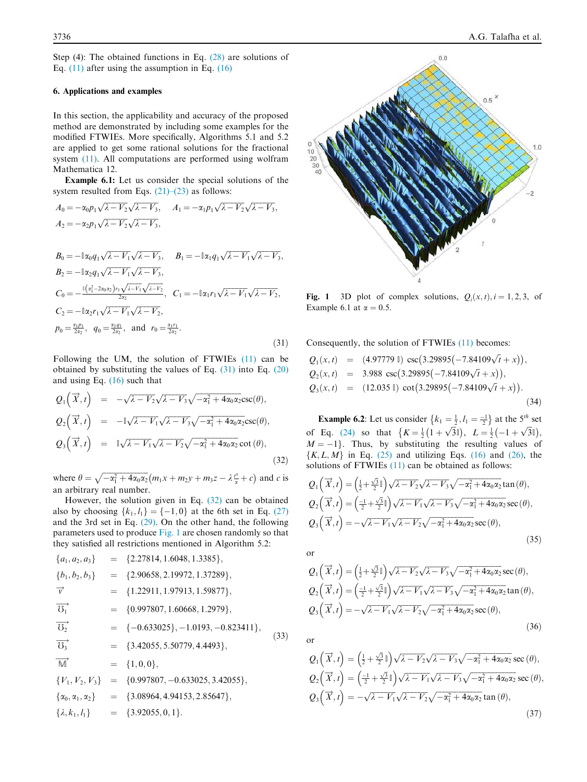Step (4): The obtained functions in Eq. (28) are solutions of Eq. (11) after using the assumption in Eq. (16)

### 6. Applications and examples

In this section, the applicability and accuracy of the proposed method are demonstrated by including some examples for the modified FTWIEs. More specifically, Algorithms 5.1 and 5.2 are applied to get some rational solutions for the fractional system (11). All computations are performed using wolfram Mathematica 12.

Example 6.1: Let us consider the special solutions of the system resulted from Eqs.  $(21)$ – $(23)$  as follows:

$$
A_0 = -\alpha_0 p_1 \sqrt{\lambda - V_2} \sqrt{\lambda - V_3}, \qquad A_1 = -\alpha_1 p_1 \sqrt{\lambda - V_2} \sqrt{\lambda - V_3},
$$
  
\n
$$
A_2 = -\alpha_2 p_1 \sqrt{\lambda - V_2} \sqrt{\lambda - V_3},
$$
  
\n
$$
B_0 = -\mathbb{I}\alpha_0 q_1 \sqrt{\lambda - V_1} \sqrt{\lambda - V_3}, \qquad B_1 = -\mathbb{I}\alpha_1 q_1 \sqrt{\lambda - V_1} \sqrt{\lambda - V_3},
$$
  
\n
$$
B_2 = -\mathbb{I}\alpha_2 q_1 \sqrt{\lambda - V_1} \sqrt{\lambda - V_3},
$$
  
\n
$$
C_0 = -\frac{\mathbb{I}(\alpha_1^2 - 2\alpha_0 \alpha_2) r_1 \sqrt{\lambda - V_1} \sqrt{\lambda - V_2}}{2\alpha_2}, \qquad C_1 = -\mathbb{I}\alpha_1 r_1 \sqrt{\lambda - V_1} \sqrt{\lambda - V_2},
$$
  
\n
$$
C_2 = -\mathbb{I}\alpha_2 r_1 \sqrt{\lambda - V_1} \sqrt{\lambda - V_2},
$$
  
\n
$$
p_0 = \frac{\alpha_1 p_1}{2\alpha_2}, \quad q_0 = \frac{\alpha_1 q_1}{2\alpha_2}, \text{ and } r_0 = \frac{\alpha_1 r_1}{2\alpha_2}.
$$

 $(31)$ 

Following the UM, the solution of FTWIEs (11) can be obtained by substituting the values of Eq. (31) into Eq. (20) and using Eq. (16) such that

$$
Q_1(\vec{x},t) = -\sqrt{\lambda - V_2}\sqrt{\lambda - V_3}\sqrt{-\alpha_1^2 + 4\alpha_0\alpha_2}\csc(\theta),
$$
  
\n
$$
Q_2(\vec{x},t) = -\sqrt{\lambda - V_1}\sqrt{\lambda - V_3}\sqrt{-\alpha_1^2 + 4\alpha_0\alpha_2}\csc(\theta),
$$
  
\n
$$
Q_3(\vec{x},t) = \sqrt{\lambda - V_1}\sqrt{\lambda - V_2}\sqrt{-\alpha_1^2 + 4\alpha_0\alpha_2}\cot(\theta),
$$
  
\n(32)

where  $\theta = \sqrt{-\alpha_1^2 + 4\alpha_0\alpha_2} (m_1x + m_2y + m_3z - \lambda \frac{t^2}{\alpha} + c)$  and c is an arbitrary real number.

However, the solution given in Eq. (32) can be obtained also by choosing  $\{k_1, l_1\} = \{-1, 0\}$  at the 6th set in Eq. (27) and the 3rd set in Eq. (29). On the other hand, the following parameters used to produce Fig. 1 are chosen randomly so that they satisfied all restrictions mentioned in Algorithm 5.2:

$$
{a_1, a_2, a_3} = {2.27814, 1.6048, 1.3385},
$$
  
\n
$$
{b_1, b_2, b_3} = {2.90658, 2.19972, 1.37289},
$$
  
\n
$$
\overrightarrow{v} = {1.22911, 1.97913, 1.59877},
$$
  
\n
$$
\overrightarrow{O_1} = {0.997807, 1.60668, 1.2979},
$$
  
\n
$$
\overrightarrow{O_2} = {-0.633025}, -1.0193, -0.823411},
$$
  
\n
$$
\overrightarrow{O_3} = {3.42055, 5.50779, 4.4493},
$$
  
\n
$$
\overrightarrow{M} = {1, 0, 0},
$$
  
\n
$$
{V_1, V_2, V_3} = {0.997807, -0.633025, 3.42055},
$$
  
\n
$$
{a_0, a_1, a_2} = {3.08964, 4.94153, 2.85647},
$$
  
\n
$$
{\lambda, k_1, l_1} = {3.92055, 0, 1}.
$$
 (33)



Fig. 1 3D plot of complex solutions,  $Q_i(x, t)$ ,  $i = 1, 2, 3$ , of Example 6.1 at  $\alpha = 0.5$ .

Consequently, the solution of FTWIEs (11) becomes:

$$
Q_1(x, t) = (4.97779 \text{ l}) \csc(3.29895(-7.84109\sqrt{t} + x)),
$$
  
\n
$$
Q_2(x, t) = 3.988 \csc(3.29895(-7.84109\sqrt{t} + x)),
$$
  
\n
$$
Q_3(x, t) = (12.035 \text{ l}) \cot(3.29895(-7.84109\sqrt{t} + x)).
$$
\n(34)

**Example 6.2:** Let us consider  $\{k_1 = \frac{1}{2}, l_1 = \frac{-1}{2}\}$  at the 5<sup>th</sup> set of Eq. (24) so that  $\{K = \frac{1}{2}(\hat{1} + \sqrt{3}\hat{1}), L = \frac{1}{2}(-1 + \sqrt{3}\hat{1}), L$  $M = -1$ . Thus, by substituting the resulting values of  $\{K, L, M\}$  in Eq. (25) and utilizing Eqs. (16) and (26), the solutions of FTWIEs (11) can be obtained as follows:

$$
Q_1\left(\overrightarrow{X},t\right) = \left(\frac{1}{2} + \frac{\sqrt{3}}{2}\mathbb{I}\right)\sqrt{\lambda - V_2}\sqrt{\lambda - V_3}\sqrt{-\alpha_1^2 + 4\alpha_0\alpha_2}\tan(\theta),
$$
  
\n
$$
Q_2\left(\overrightarrow{X},t\right) = \left(\frac{-1}{2} + \frac{\sqrt{3}}{2}\mathbb{I}\right)\sqrt{\lambda - V_1}\sqrt{\lambda - V_3}\sqrt{-\alpha_1^2 + 4\alpha_0\alpha_2}\sec(\theta),
$$
  
\n
$$
Q_3\left(\overrightarrow{X},t\right) = -\sqrt{\lambda - V_1}\sqrt{\lambda - V_2}\sqrt{-\alpha_1^2 + 4\alpha_0\alpha_2}\sec(\theta),
$$
\n(35)

or

$$
Q_1\left(\overrightarrow{X},t\right) = \left(\frac{1}{2} + \frac{\sqrt{3}}{2}\mathbb{I}\right)\sqrt{\lambda - V_2}\sqrt{\lambda - V_3}\sqrt{-\alpha_1^2 + 4\alpha_0\alpha_2}\sec(\theta),
$$
  
\n
$$
Q_2\left(\overrightarrow{X},t\right) = \left(\frac{-1}{2} + \frac{\sqrt{3}}{2}\mathbb{I}\right)\sqrt{\lambda - V_1}\sqrt{\lambda - V_3}\sqrt{-\alpha_1^2 + 4\alpha_0\alpha_2}\tan(\theta),
$$
  
\n
$$
Q_3\left(\overrightarrow{X},t\right) = -\sqrt{\lambda - V_1}\sqrt{\lambda - V_2}\sqrt{-\alpha_1^2 + 4\alpha_0\alpha_2}\sec(\theta),
$$
  
\n(36)

or

$$
Q_1\left(\overrightarrow{x},t\right) = \left(\frac{1}{2} + \frac{\sqrt{3}}{2}\mathbb{I}\right)\sqrt{\lambda - V_2}\sqrt{\lambda - V_3}\sqrt{-\alpha_1^2 + 4\alpha_0\alpha_2}\sec\left(\theta\right),
$$
  
\n
$$
Q_2\left(\overrightarrow{x},t\right) = \left(\frac{-1}{2} + \frac{\sqrt{3}}{2}\mathbb{I}\right)\sqrt{\lambda - V_1}\sqrt{\lambda - V_3}\sqrt{-\alpha_1^2 + 4\alpha_0\alpha_2}\sec\left(\theta\right),
$$
  
\n
$$
Q_3\left(\overrightarrow{x},t\right) = -\sqrt{\lambda - V_1}\sqrt{\lambda - V_2}\sqrt{-\alpha_1^2 + 4\alpha_0\alpha_2}\tan\left(\theta\right),
$$
  
\n(37)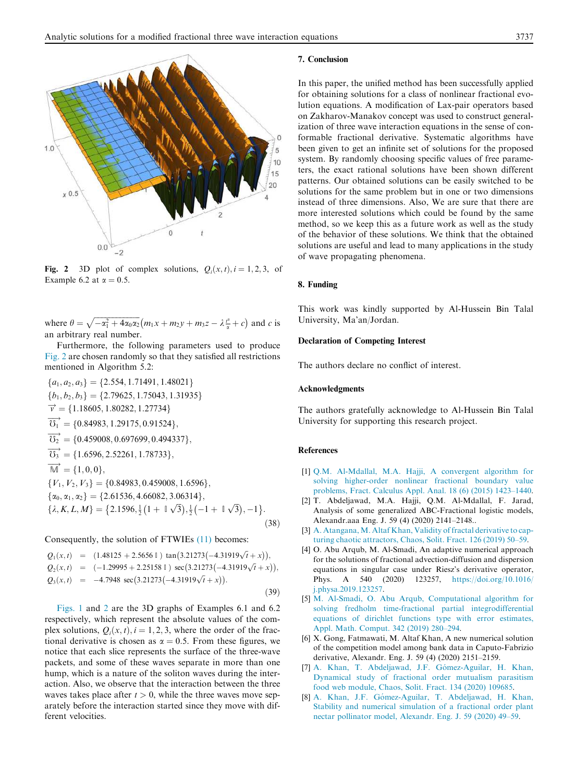

Fig. 2 3D plot of complex solutions,  $Q_i(x, t)$ ,  $i = 1, 2, 3$ , of Example 6.2 at  $\alpha = 0.5$ .

where  $\theta = \sqrt{-\alpha_1^2 + 4\alpha_0\alpha_2} (m_1x + m_2y + m_3z - \lambda \frac{t^2}{\alpha} + c)$  and c is an arbitrary real number.

Furthermore, the following parameters used to produce Fig. 2 are chosen randomly so that they satisfied all restrictions mentioned in Algorithm 5.2:

 ${a_1, a_2, a_3} = {2.554, 1.71491, 1.48021}$  ${b_1, b_2, b_3} = {2.79625, 1.75043, 1.31935}$  $\vec{v} = \{1.18605, 1.80282, 1.27734\}$  $\overrightarrow{O_1}$  = {0.84983, 1.29175, 0.91524},  $\overrightarrow{U_2}$  = {0.459008, 0.697699, 0.494337},  $\overrightarrow{U_3}$  = {1.6596, 2.52261, 1.78733},  $\overrightarrow{M} = \{1, 0, 0\},\,$  ${V_1, V_2, V_3} = {0.84983, 0.459008, 1.6596},$  $\{\alpha_0, \alpha_1, \alpha_2\} = \{2.61536, 4.66082, 3.06314\},\$  $\{\lambda, K, L, M\} = \{2.1596, \frac{1}{2}(1 + \sqrt{3}), \frac{1}{2}(-1 + \sqrt{3}), -1\}.$  $(38)$ 

Consequently, the solution of FTWIEs (11) becomes:

$$
Q_1(x,t) = (1.48125 + 2.5656 \t) \tan(3.21273(-4.31919\sqrt{t} + x)),
$$
  
\n
$$
Q_2(x,t) = (-1.29995 + 2.25158 \t) \sec(3.21273(-4.31919\sqrt{t} + x)),
$$
  
\n
$$
Q_3(x,t) = -4.7948 \sec(3.21273(-4.31919\sqrt{t} + x)).
$$
\n(39)

Figs. 1 and 2 are the 3D graphs of Examples 6.1 and 6.2 respectively, which represent the absolute values of the complex solutions,  $Q_i(x, t)$ ,  $i = 1, 2, 3$ , where the order of the fractional derivative is chosen as  $\alpha = 0.5$ . From these figures, we notice that each slice represents the surface of the three-wave packets, and some of these waves separate in more than one hump, which is a nature of the soliton waves during the interaction. Also, we observe that the interaction between the three waves takes place after  $t > 0$ , while the three waves move separately before the interaction started since they move with different velocities.

#### 7. Conclusion

In this paper, the unified method has been successfully applied for obtaining solutions for a class of nonlinear fractional evolution equations. A modification of Lax-pair operators based on Zakharov-Manakov concept was used to construct generalization of three wave interaction equations in the sense of conformable fractional derivative. Systematic algorithms have been given to get an infinite set of solutions for the proposed system. By randomly choosing specific values of free parameters, the exact rational solutions have been shown different patterns. Our obtained solutions can be easily switched to be solutions for the same problem but in one or two dimensions instead of three dimensions. Also, We are sure that there are more interested solutions which could be found by the same method, so we keep this as a future work as well as the study of the behavior of these solutions. We think that the obtained solutions are useful and lead to many applications in the study of wave propagating phenomena.

#### 8. Funding

This work was kindly supported by Al-Hussein Bin Talal University, Ma'an/Jordan.

#### Declaration of Competing Interest

The authors declare no conflict of interest.

# Acknowledgments

The authors gratefully acknowledge to Al-Hussein Bin Talal University for supporting this research project.

#### References

- [1] Q.M. Al-Mdallal, M.A. Hajji, A convergent algorithm for solving higher-order nonlinear fractional boundary value problems, Fract. Calculus Appl. Anal. 18 (6) (2015) 1423–1440.
- [2] T. Abdeljawad, M.A. Hajji, Q.M. Al-Mdallal, F. Jarad, Analysis of some generalized ABC-Fractional logistic models, Alexandr.aaa Eng. J. 59 (4) (2020) 2141–2148..
- [3] A. Atangana, M. Altaf Khan, Validity of fractal derivative to capturing chaotic attractors, Chaos, Solit. Fract. 126 (2019) 50–59.
- [4] O. Abu Arqub, M. Al-Smadi, An adaptive numerical approach for the solutions of fractional advection-diffusion and dispersion equations in singular case under Riesz's derivative operator, Phys. A 540 (2020) 123257, https://doi.org/10.1016/ j.physa.2019.123257.
- [5] M. Al-Smadi, O. Abu Arqub, Computational algorithm for solving fredholm time-fractional partial integrodifferential equations of dirichlet functions type with error estimates, Appl. Math. Comput. 342 (2019) 280–294.
- [6] X. Gong, Fatmawati, M. Altaf Khan, A new numerical solution of the competition model among bank data in Caputo-Fabrizio derivative, Alexandr. Eng. J. 59 (4) (2020) 2151–2159.
- [7] A. Khan, T. Abdeljawad, J.F. Gómez-Aguilar, H. Khan, Dynamical study of fractional order mutualism parasitism food web module, Chaos, Solit. Fract. 134 (2020) 109685.
- [8] A. Khan, J.F. Gómez-Aguilar, T. Abdeljawad, H. Khan, Stability and numerical simulation of a fractional order plant nectar pollinator model, Alexandr. Eng. J. 59 (2020) 49–59.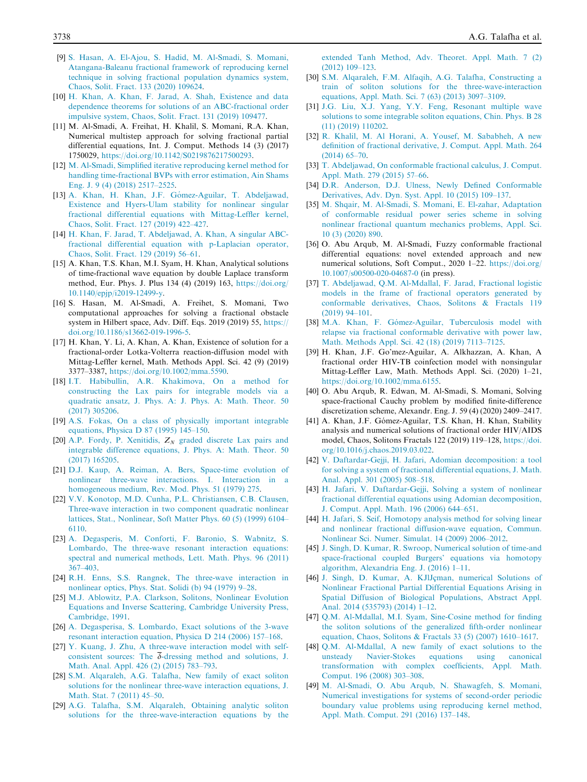- [9] S. Hasan, A. El-Ajou, S. Hadid, M. Al-Smadi, S. Momani, Atangana-Baleanu fractional framework of reproducing kernel technique in solving fractional population dynamics system, Chaos, Solit. Fract. 133 (2020) 109624.
- [10] H. Khan, A. Khan, F. Jarad, A. Shah, Existence and data dependence theorems for solutions of an ABC-fractional order impulsive system, Chaos, Solit. Fract. 131 (2019) 109477.
- [11] M. Al-Smadi, A. Freihat, H. Khalil, S. Momani, R.A. Khan, Numerical multistep approach for solving fractional partial differential equations, Int. J. Comput. Methods 14 (3) (2017) 1750029, https://doi.org/10.1142/S0219876217500293.
- [12] M. Al-Smadi, Simplified iterative reproducing kernel method for handling time-fractional BVPs with error estimation, Ain Shams Eng. J. 9 (4) (2018) 2517–2525.
- [13] A. Khan, H. Khan, J.F. Gómez-Aguilar, T. Abdeljawad, Existence and Hyers-Ulam stability for nonlinear singular fractional differential equations with Mittag-Leffler kernel, Chaos, Solit. Fract. 127 (2019) 422–427.
- [14] H. Khan, F. Jarad, T. Abdeljawad, A. Khan, A singular ABCfractional differential equation with p-Laplacian operator, Chaos, Solit. Fract. 129 (2019) 56–61.
- [15] A. Khan, T.S. Khan, M.I. Syam, H. Khan, Analytical solutions of time-fractional wave equation by double Laplace transform method, Eur. Phys. J. Plus 134 (4) (2019) 163, https://doi.org/ 10.1140/epjp/i2019-12499-y.
- [16] S. Hasan, M. Al-Smadi, A. Freihet, S. Momani, Two computational approaches for solving a fractional obstacle system in Hilbert space, Adv. Diff. Eqs. 2019 (2019) 55, https:// doi.org/10.1186/s13662-019-1996-5.
- [17] H. Khan, Y. Li, A. Khan, A. Khan, Existence of solution for a fractional-order Lotka-Volterra reaction-diffusion model with Mittag-Leffler kernel, Math. Methods Appl. Sci. 42 (9) (2019) 3377–3387, https://doi.org/10.1002/mma.5590.
- [18] I.T. Habibullin, A.R. Khakimova, On a method for constructing the Lax pairs for integrable models via a quadratic ansatz, J. Phys. A: J. Phys. A: Math. Theor. 50 (2017) 305206.
- [19] A.S. Fokas, On a class of physically important integrable equations, Physica D 87 (1995) 145–150.
- [20] A.P. Fordy, P. Xenitidis,  $Z_N$  graded discrete Lax pairs and integrable difference equations, J. Phys. A: Math. Theor. 50 (2017) 165205.
- [21] D.J. Kaup, A. Reiman, A. Bers, Space-time evolution of nonlinear three-wave interactions. I. Interaction in a homogeneous medium, Rev. Mod. Phys. 51 (1979) 275.
- [22] V.V. Konotop, M.D. Cunha, P.L. Christiansen, C.B. Clausen, Three-wave interaction in two component quadratic nonlinear lattices, Stat., Nonlinear, Soft Matter Phys. 60 (5) (1999) 6104– 6110.
- [23] A. Degasperis, M. Conforti, F. Baronio, S. Wabnitz, S. Lombardo, The three-wave resonant interaction equations: spectral and numerical methods, Lett. Math. Phys. 96 (2011) 367–403.
- [24] R.H. Enns, S.S. Rangnek, The three-wave interaction in nonlinear optics, Phys. Stat. Solidi (b) 94 (1979) 9–28.
- [25] M.J. Ablowitz, P.A. Clarkson, Solitons, Nonlinear Evolution Equations and Inverse Scattering, Cambridge University Press, Cambridge, 1991.
- [26] A. Degasperisa, S. Lombardo, Exact solutions of the 3-wave resonant interaction equation, Physica D 214 (2006) 157–168.
- [27] Y. Kuang, J. Zhu, A three-wave interaction model with selfconsistent sources: The  $\delta$ -dressing method and solutions, J. Math. Anal. Appl. 426 (2) (2015) 783–793.
- [28] S.M. Alqaraleh, A.G. Talafha, New family of exact soliton solutions for the nonlinear three-wave interaction equations, J. Math. Stat. 7 (2011) 45–50.
- [29] A.G. Talafha, S.M. Alqaraleh, Obtaining analytic soliton solutions for the three-wave-interaction equations by the

extended Tanh Method, Adv. Theoret. Appl. Math. 7 (2) (2012) 109–123.

- [30] S.M. Alqaraleh, F.M. Alfaqih, A.G. Talafha, Constructing a train of soliton solutions for the three-wave-interaction equations, Appl. Math. Sci. 7 (63) (2013) 3097–3109.
- [31] J.G. Liu, X.J. Yang, Y.Y. Feng, Resonant multiple wave solutions to some integrable soliton equations, Chin. Phys. B 28 (11) (2019) 110202.
- [32] R. Khalil, M. Al Horani, A. Yousef, M. Sababheh, A new definition of fractional derivative, J. Comput. Appl. Math. 264 (2014) 65–70.
- [33] T. Abdeljawad, On conformable fractional calculus, J. Comput. Appl. Math. 279 (2015) 57–66.
- [34] D.R. Anderson, D.J. Ulness, Newly Defined Conformable Derivatives, Adv. Dyn. Syst. Appl. 10 (2015) 109–137.
- [35] M. Shqair, M. Al-Smadi, S. Momani, E. El-zahar, Adaptation of conformable residual power series scheme in solving nonlinear fractional quantum mechanics problems, Appl. Sci. 10 (3) (2020) 890.
- [36] O. Abu Arqub, M. Al-Smadi, Fuzzy conformable fractional differential equations: novel extended approach and new numerical solutions, Soft Comput., 2020 1–22. https://doi.org/ 10.1007/s00500-020-04687-0 (in press).
- [37] T. Abdeljawad, Q.M. Al-Mdallal, F. Jarad, Fractional logistic models in the frame of fractional operators generated by conformable derivatives, Chaos, Solitons & Fractals 119 (2019) 94–101.
- [38] M.A. Khan, F. Gómez-Aguilar, Tuberculosis model with relapse via fractional conformable derivative with power law, Math. Methods Appl. Sci. 42 (18) (2019) 7113–7125.
- [39] H. Khan, J.F. Go'mez-Aguilar, A. Alkhazzan, A. Khan, A fractional order HIV-TB coinfection model with nonsingular Mittag-Leffler Law, Math. Methods Appl. Sci. (2020) 1–21, https://doi.org/10.1002/mma.6155.
- [40] O. Abu Arqub, R. Edwan, M. Al-Smadi, S. Momani, Solving space-fractional Cauchy problem by modified finite-difference discretization scheme, Alexandr. Eng. J. 59 (4) (2020) 2409–2417.
- [41] A. Khan, J.F. Gómez-Aguilar, T.S. Khan, H. Khan, Stability analysis and numerical solutions of fractional order HIV/AIDS model, Chaos, Solitons Fractals 122 (2019) 119–128, https://doi. org/10.1016/j.chaos.2019.03.022.
- [42] V. Daftardar-Gejji, H. Jafari, Adomian decomposition: a tool for solving a system of fractional differential equations, J. Math. Anal. Appl. 301 (2005) 508–518.
- [43] H. Jafari, V. Daftardar-Gejji, Solving a system of nonlinear fractional differential equations using Adomian decomposition, J. Comput. Appl. Math. 196 (2006) 644–651.
- [44] H. Jafari, S. Seif, Homotopy analysis method for solving linear and nonlinear fractional diffusion-wave equation, Commun. Nonlinear Sci. Numer. Simulat. 14 (2009) 2006–2012.
- [45] J. Singh, D. Kumar, R. Swroop, Numerical solution of time-and space-fractional coupled Burgers' equations via homotopy algorithm, Alexandria Eng. J. (2016) 1–11.
- [46] J. Singh, D. Kumar, A. KJlJçman, numerical Solutions of Nonlinear Fractional Partial Differential Equations Arising in Spatial Diffusion of Biological Populations, Abstract Appl. Anal. 2014 (535793) (2014) 1–12.
- [47] Q.M. Al-Mdallal, M.I. Syam, Sine-Cosine method for finding the soliton solutions of the generalized fifth-order nonlinear equation, Chaos, Solitons & Fractals 33 (5) (2007) 1610–1617.
- [48] Q.M. Al-Mdallal, A new family of exact solutions to the unsteady Navier-Stokes equations using canonical transformation with complex coefficients, Appl. Math. Comput. 196 (2008) 303–308.
- [49] M. Al-Smadi, O. Abu Arqub, N. Shawagfeh, S. Momani, Numerical investigations for systems of second-order periodic boundary value problems using reproducing kernel method, Appl. Math. Comput. 291 (2016) 137–148.